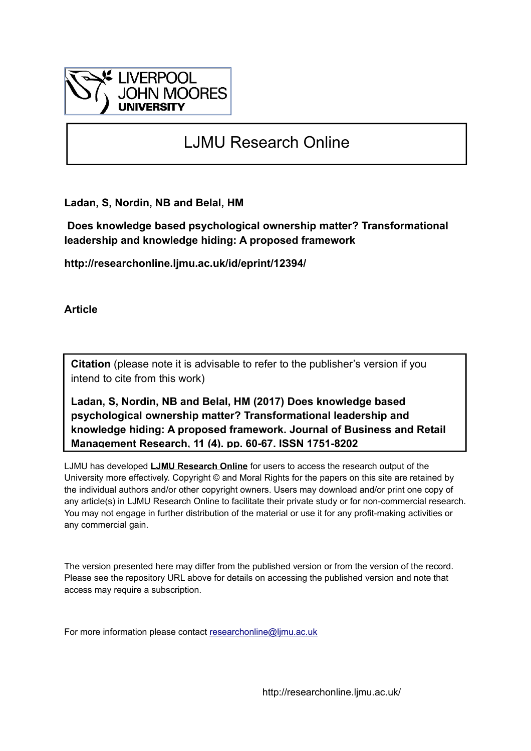

# LJMU Research Online

**Ladan, S, Nordin, NB and Belal, HM**

 **Does knowledge based psychological ownership matter? Transformational leadership and knowledge hiding: A proposed framework**

**http://researchonline.ljmu.ac.uk/id/eprint/12394/**

**Article**

**Citation** (please note it is advisable to refer to the publisher's version if you intend to cite from this work)

**Ladan, S, Nordin, NB and Belal, HM (2017) Does knowledge based psychological ownership matter? Transformational leadership and knowledge hiding: A proposed framework. Journal of Business and Retail Management Research, 11 (4). pp. 60-67. ISSN 1751-8202** 

LJMU has developed **[LJMU Research Online](http://researchonline.ljmu.ac.uk/)** for users to access the research output of the University more effectively. Copyright © and Moral Rights for the papers on this site are retained by the individual authors and/or other copyright owners. Users may download and/or print one copy of any article(s) in LJMU Research Online to facilitate their private study or for non-commercial research. You may not engage in further distribution of the material or use it for any profit-making activities or any commercial gain.

The version presented here may differ from the published version or from the version of the record. Please see the repository URL above for details on accessing the published version and note that access may require a subscription.

For more information please contact [researchonline@ljmu.ac.uk](mailto:researchonline@ljmu.ac.uk)

http://researchonline.ljmu.ac.uk/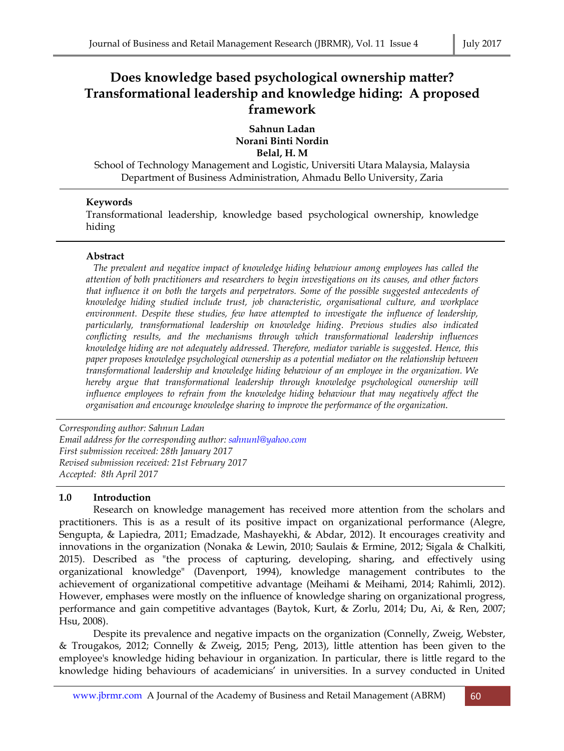# **Does knowledge based psychological ownership matter? Transformational leadership and knowledge hiding: A proposed framework**

**Sahnun Ladan Norani Binti Nordin Belal, H. M** 

School of Technology Management and Logistic, Universiti Utara Malaysia, Malaysia Department of Business Administration, Ahmadu Bello University, Zaria

# **Keywords**

Transformational leadership, knowledge based psychological ownership, knowledge hiding

# **Abstract**

*The prevalent and negative impact of knowledge hiding behaviour among employees has called the attention of both practitioners and researchers to begin investigations on its causes, and other factors that influence it on both the targets and perpetrators. Some of the possible suggested antecedents of knowledge hiding studied include trust, job characteristic, organisational culture, and workplace environment. Despite these studies, few have attempted to investigate the influence of leadership, particularly, transformational leadership on knowledge hiding. Previous studies also indicated conflicting results, and the mechanisms through which transformational leadership influences knowledge hiding are not adequately addressed. Therefore, mediator variable is suggested. Hence, this paper proposes knowledge psychological ownership as a potential mediator on the relationship between transformational leadership and knowledge hiding behaviour of an employee in the organization. We hereby argue that transformational leadership through knowledge psychological ownership will influence employees to refrain from the knowledge hiding behaviour that may negatively affect the organisation and encourage knowledge sharing to improve the performance of the organization.* 

*Corresponding author: Sahnun Ladan Email address for the corresponding author: sahnunl@yahoo.com First submission received: 28th January 2017 Revised submission received: 21st February 2017 Accepted: 8th April 2017*

# **1.0 Introduction**

 Research on knowledge management has received more attention from the scholars and practitioners. This is as a result of its positive impact on organizational performance (Alegre, Sengupta, & Lapiedra, 2011; Emadzade, Mashayekhi, & Abdar, 2012). It encourages creativity and innovations in the organization (Nonaka & Lewin, 2010; Saulais & Ermine, 2012; Sigala & Chalkiti, 2015). Described as "the process of capturing, developing, sharing, and effectively using organizational knowledge" (Davenport, 1994), knowledge management contributes to the achievement of organizational competitive advantage (Meihami & Meihami, 2014; Rahimli, 2012). However, emphases were mostly on the influence of knowledge sharing on organizational progress, performance and gain competitive advantages (Baytok, Kurt, & Zorlu, 2014; Du, Ai, & Ren, 2007; Hsu, 2008).

 Despite its prevalence and negative impacts on the organization (Connelly, Zweig, Webster, & Trougakos, 2012; Connelly & Zweig, 2015; Peng, 2013), little attention has been given to the employee's knowledge hiding behaviour in organization. In particular, there is little regard to the knowledge hiding behaviours of academicians' in universities. In a survey conducted in United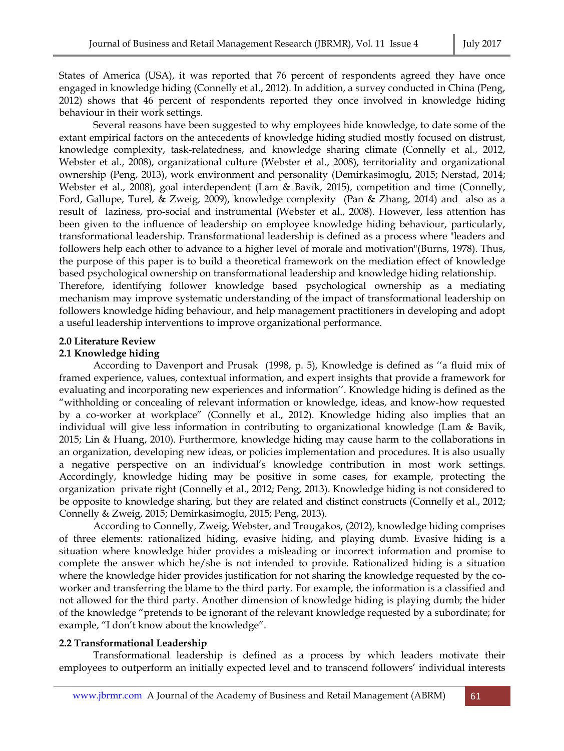States of America (USA), it was reported that 76 percent of respondents agreed they have once engaged in knowledge hiding (Connelly et al., 2012). In addition, a survey conducted in China (Peng, 2012) shows that 46 percent of respondents reported they once involved in knowledge hiding behaviour in their work settings.

 Several reasons have been suggested to why employees hide knowledge, to date some of the extant empirical factors on the antecedents of knowledge hiding studied mostly focused on distrust, knowledge complexity, task-relatedness, and knowledge sharing climate (Connelly et al., 2012, Webster et al., 2008), organizational culture (Webster et al., 2008), territoriality and organizational ownership (Peng, 2013), work environment and personality (Demirkasimoglu, 2015; Nerstad, 2014; Webster et al., 2008), goal interdependent (Lam & Bavik, 2015), competition and time (Connelly, Ford, Gallupe, Turel, & Zweig, 2009), knowledge complexity (Pan & Zhang, 2014) and also as a result of laziness, pro-social and instrumental (Webster et al., 2008). However, less attention has been given to the influence of leadership on employee knowledge hiding behaviour, particularly, transformational leadership. Transformational leadership is defined as a process where "leaders and followers help each other to advance to a higher level of morale and motivation"(Burns, 1978). Thus, the purpose of this paper is to build a theoretical framework on the mediation effect of knowledge based psychological ownership on transformational leadership and knowledge hiding relationship.

Therefore, identifying follower knowledge based psychological ownership as a mediating mechanism may improve systematic understanding of the impact of transformational leadership on followers knowledge hiding behaviour, and help management practitioners in developing and adopt a useful leadership interventions to improve organizational performance.

#### **2.0 Literature Review**

# **2.1 Knowledge hiding**

 According to Davenport and Prusak (1998, p. 5), Knowledge is defined as ''a fluid mix of framed experience, values, contextual information, and expert insights that provide a framework for evaluating and incorporating new experiences and information''. Knowledge hiding is defined as the "withholding or concealing of relevant information or knowledge, ideas, and know-how requested by a co-worker at workplace" (Connelly et al., 2012). Knowledge hiding also implies that an individual will give less information in contributing to organizational knowledge (Lam & Bavik, 2015; Lin & Huang, 2010). Furthermore, knowledge hiding may cause harm to the collaborations in an organization, developing new ideas, or policies implementation and procedures. It is also usually a negative perspective on an individual's knowledge contribution in most work settings. Accordingly, knowledge hiding may be positive in some cases, for example, protecting the organization private right (Connelly et al., 2012; Peng, 2013). Knowledge hiding is not considered to be opposite to knowledge sharing, but they are related and distinct constructs (Connelly et al., 2012; Connelly & Zweig, 2015; Demirkasimoglu, 2015; Peng, 2013).

 According to Connelly, Zweig, Webster, and Trougakos, (2012), knowledge hiding comprises of three elements: rationalized hiding, evasive hiding, and playing dumb. Evasive hiding is a situation where knowledge hider provides a misleading or incorrect information and promise to complete the answer which he/she is not intended to provide. Rationalized hiding is a situation where the knowledge hider provides justification for not sharing the knowledge requested by the coworker and transferring the blame to the third party. For example, the information is a classified and not allowed for the third party. Another dimension of knowledge hiding is playing dumb; the hider of the knowledge "pretends to be ignorant of the relevant knowledge requested by a subordinate; for example, "I don't know about the knowledge".

#### **2.2 Transformational Leadership**

 Transformational leadership is defined as a process by which leaders motivate their employees to outperform an initially expected level and to transcend followers' individual interests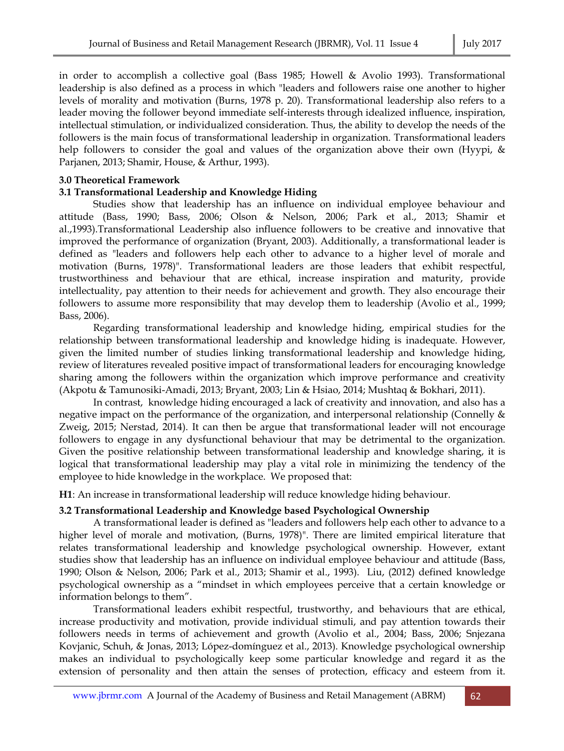in order to accomplish a collective goal (Bass 1985; Howell & Avolio 1993). Transformational leadership is also defined as a process in which "leaders and followers raise one another to higher levels of morality and motivation (Burns, 1978 p. 20). Transformational leadership also refers to a leader moving the follower beyond immediate self-interests through idealized influence, inspiration, intellectual stimulation, or individualized consideration. Thus, the ability to develop the needs of the followers is the main focus of transformational leadership in organization. Transformational leaders help followers to consider the goal and values of the organization above their own (Hyypi, & Parjanen, 2013; Shamir, House, & Arthur, 1993).

#### **3.0 Theoretical Framework**

# **3.1 Transformational Leadership and Knowledge Hiding**

 Studies show that leadership has an influence on individual employee behaviour and attitude (Bass, 1990; Bass, 2006; Olson & Nelson, 2006; Park et al., 2013; Shamir et al.,1993).Transformational Leadership also influence followers to be creative and innovative that improved the performance of organization (Bryant, 2003). Additionally, a transformational leader is defined as "leaders and followers help each other to advance to a higher level of morale and motivation (Burns, 1978)". Transformational leaders are those leaders that exhibit respectful, trustworthiness and behaviour that are ethical, increase inspiration and maturity, provide intellectuality, pay attention to their needs for achievement and growth. They also encourage their followers to assume more responsibility that may develop them to leadership (Avolio et al., 1999; Bass, 2006).

 Regarding transformational leadership and knowledge hiding, empirical studies for the relationship between transformational leadership and knowledge hiding is inadequate. However, given the limited number of studies linking transformational leadership and knowledge hiding, review of literatures revealed positive impact of transformational leaders for encouraging knowledge sharing among the followers within the organization which improve performance and creativity (Akpotu & Tamunosiki-Amadi, 2013; Bryant, 2003; Lin & Hsiao, 2014; Mushtaq & Bokhari, 2011).

 In contrast, knowledge hiding encouraged a lack of creativity and innovation, and also has a negative impact on the performance of the organization, and interpersonal relationship (Connelly & Zweig, 2015; Nerstad, 2014). It can then be argue that transformational leader will not encourage followers to engage in any dysfunctional behaviour that may be detrimental to the organization. Given the positive relationship between transformational leadership and knowledge sharing, it is logical that transformational leadership may play a vital role in minimizing the tendency of the employee to hide knowledge in the workplace. We proposed that:

**H1**: An increase in transformational leadership will reduce knowledge hiding behaviour.

# **3.2 Transformational Leadership and Knowledge based Psychological Ownership**

 A transformational leader is defined as "leaders and followers help each other to advance to a higher level of morale and motivation, (Burns, 1978)". There are limited empirical literature that relates transformational leadership and knowledge psychological ownership. However, extant studies show that leadership has an influence on individual employee behaviour and attitude (Bass, 1990; Olson & Nelson, 2006; Park et al., 2013; Shamir et al., 1993). Liu, (2012) defined knowledge psychological ownership as a "mindset in which employees perceive that a certain knowledge or information belongs to them".

 Transformational leaders exhibit respectful, trustworthy, and behaviours that are ethical, increase productivity and motivation, provide individual stimuli, and pay attention towards their followers needs in terms of achievement and growth (Avolio et al., 2004; Bass, 2006; Snjezana Kovjanic, Schuh, & Jonas, 2013; López-domínguez et al., 2013). Knowledge psychological ownership makes an individual to psychologically keep some particular knowledge and regard it as the extension of personality and then attain the senses of protection, efficacy and esteem from it.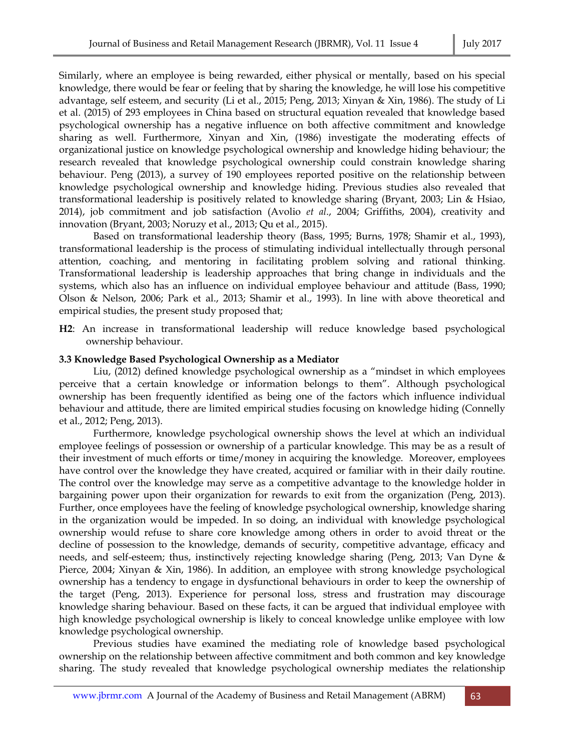Similarly, where an employee is being rewarded, either physical or mentally, based on his special knowledge, there would be fear or feeling that by sharing the knowledge, he will lose his competitive advantage, self esteem, and security (Li et al., 2015; Peng, 2013; Xinyan & Xin, 1986). The study of Li et al. (2015) of 293 employees in China based on structural equation revealed that knowledge based psychological ownership has a negative influence on both affective commitment and knowledge sharing as well. Furthermore, Xinyan and Xin, (1986) investigate the moderating effects of organizational justice on knowledge psychological ownership and knowledge hiding behaviour; the research revealed that knowledge psychological ownership could constrain knowledge sharing behaviour. Peng (2013), a survey of 190 employees reported positive on the relationship between knowledge psychological ownership and knowledge hiding. Previous studies also revealed that transformational leadership is positively related to knowledge sharing (Bryant, 2003; Lin & Hsiao, 2014), job commitment and job satisfaction (Avolio *et al*., 2004; Griffiths, 2004), creativity and innovation (Bryant, 2003; Noruzy et al., 2013; Qu et al., 2015).

 Based on transformational leadership theory (Bass, 1995; Burns, 1978; Shamir et al., 1993), transformational leadership is the process of stimulating individual intellectually through personal attention, coaching, and mentoring in facilitating problem solving and rational thinking. Transformational leadership is leadership approaches that bring change in individuals and the systems, which also has an influence on individual employee behaviour and attitude (Bass, 1990; Olson & Nelson, 2006; Park et al., 2013; Shamir et al., 1993). In line with above theoretical and empirical studies, the present study proposed that;

**H2**: An increase in transformational leadership will reduce knowledge based psychological ownership behaviour.

#### **3.3 Knowledge Based Psychological Ownership as a Mediator**

 Liu, (2012) defined knowledge psychological ownership as a "mindset in which employees perceive that a certain knowledge or information belongs to them". Although psychological ownership has been frequently identified as being one of the factors which influence individual behaviour and attitude, there are limited empirical studies focusing on knowledge hiding (Connelly et al., 2012; Peng, 2013).

 Furthermore, knowledge psychological ownership shows the level at which an individual employee feelings of possession or ownership of a particular knowledge. This may be as a result of their investment of much efforts or time/money in acquiring the knowledge. Moreover, employees have control over the knowledge they have created, acquired or familiar with in their daily routine. The control over the knowledge may serve as a competitive advantage to the knowledge holder in bargaining power upon their organization for rewards to exit from the organization (Peng, 2013). Further, once employees have the feeling of knowledge psychological ownership, knowledge sharing in the organization would be impeded. In so doing, an individual with knowledge psychological ownership would refuse to share core knowledge among others in order to avoid threat or the decline of possession to the knowledge, demands of security, competitive advantage, efficacy and needs, and self-esteem; thus, instinctively rejecting knowledge sharing (Peng, 2013; Van Dyne & Pierce, 2004; Xinyan & Xin, 1986). In addition, an employee with strong knowledge psychological ownership has a tendency to engage in dysfunctional behaviours in order to keep the ownership of the target (Peng, 2013). Experience for personal loss, stress and frustration may discourage knowledge sharing behaviour. Based on these facts, it can be argued that individual employee with high knowledge psychological ownership is likely to conceal knowledge unlike employee with low knowledge psychological ownership.

 Previous studies have examined the mediating role of knowledge based psychological ownership on the relationship between affective commitment and both common and key knowledge sharing. The study revealed that knowledge psychological ownership mediates the relationship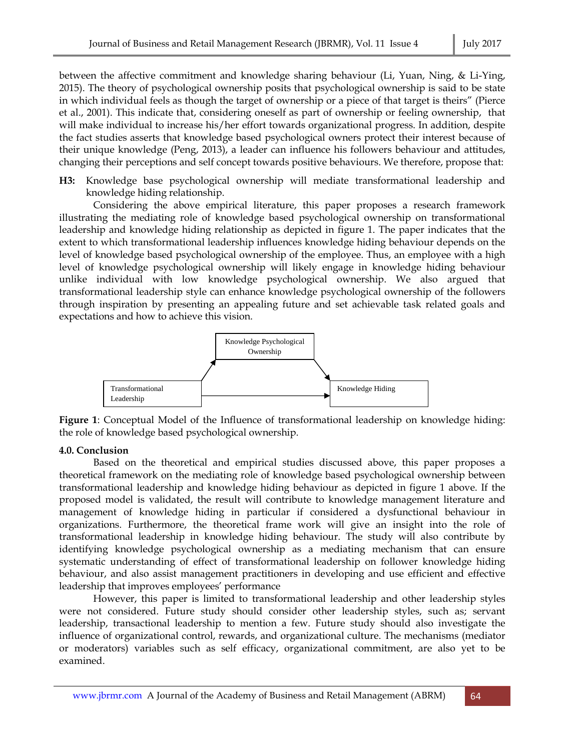between the affective commitment and knowledge sharing behaviour (Li, Yuan, Ning, & Li-Ying, 2015). The theory of psychological ownership posits that psychological ownership is said to be state in which individual feels as though the target of ownership or a piece of that target is theirs" (Pierce et al., 2001). This indicate that, considering oneself as part of ownership or feeling ownership, that will make individual to increase his/her effort towards organizational progress. In addition, despite the fact studies asserts that knowledge based psychological owners protect their interest because of their unique knowledge (Peng, 2013), a leader can influence his followers behaviour and attitudes, changing their perceptions and self concept towards positive behaviours. We therefore, propose that:

**H3:** Knowledge base psychological ownership will mediate transformational leadership and knowledge hiding relationship.

 Considering the above empirical literature, this paper proposes a research framework illustrating the mediating role of knowledge based psychological ownership on transformational leadership and knowledge hiding relationship as depicted in figure 1. The paper indicates that the extent to which transformational leadership influences knowledge hiding behaviour depends on the level of knowledge based psychological ownership of the employee. Thus, an employee with a high level of knowledge psychological ownership will likely engage in knowledge hiding behaviour unlike individual with low knowledge psychological ownership. We also argued that transformational leadership style can enhance knowledge psychological ownership of the followers through inspiration by presenting an appealing future and set achievable task related goals and expectations and how to achieve this vision.



**Figure 1**: Conceptual Model of the Influence of transformational leadership on knowledge hiding: the role of knowledge based psychological ownership.

# **4.0. Conclusion**

 Based on the theoretical and empirical studies discussed above, this paper proposes a theoretical framework on the mediating role of knowledge based psychological ownership between transformational leadership and knowledge hiding behaviour as depicted in figure 1 above. If the proposed model is validated, the result will contribute to knowledge management literature and management of knowledge hiding in particular if considered a dysfunctional behaviour in organizations. Furthermore, the theoretical frame work will give an insight into the role of transformational leadership in knowledge hiding behaviour. The study will also contribute by identifying knowledge psychological ownership as a mediating mechanism that can ensure systematic understanding of effect of transformational leadership on follower knowledge hiding behaviour, and also assist management practitioners in developing and use efficient and effective leadership that improves employees' performance

 However, this paper is limited to transformational leadership and other leadership styles were not considered. Future study should consider other leadership styles, such as; servant leadership, transactional leadership to mention a few. Future study should also investigate the influence of organizational control, rewards, and organizational culture. The mechanisms (mediator or moderators) variables such as self efficacy, organizational commitment, are also yet to be examined.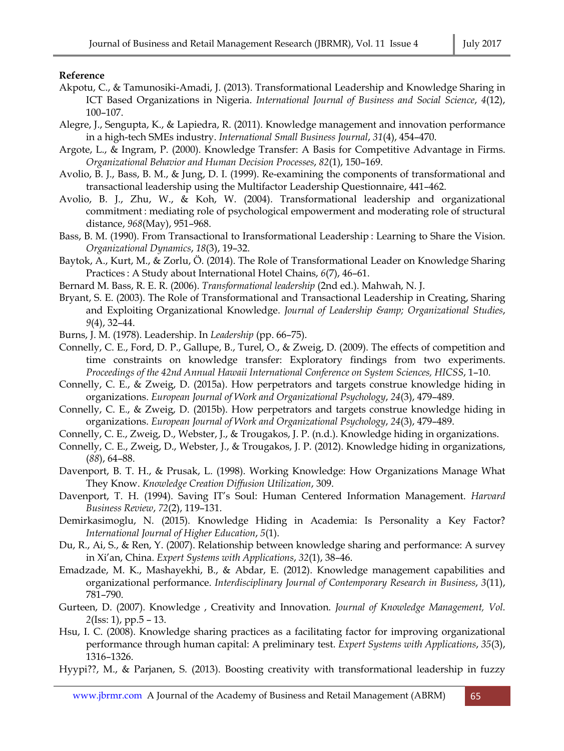# **Reference**

- Akpotu, C., & Tamunosiki-Amadi, J. (2013). Transformational Leadership and Knowledge Sharing in ICT Based Organizations in Nigeria. *International Journal of Business and Social Science*, *4*(12), 100–107.
- Alegre, J., Sengupta, K., & Lapiedra, R. (2011). Knowledge management and innovation performance in a high-tech SMEs industry. *International Small Business Journal*, *31*(4), 454–470.
- Argote, L., & Ingram, P. (2000). Knowledge Transfer: A Basis for Competitive Advantage in Firms. *Organizational Behavior and Human Decision Processes*, *82*(1), 150–169.
- Avolio, B. J., Bass, B. M., & Jung, D. I. (1999). Re-examining the components of transformational and transactional leadership using the Multifactor Leadership Questionnaire, 441–462.
- Avolio, B. J., Zhu, W., & Koh, W. (2004). Transformational leadership and organizational commitment : mediating role of psychological empowerment and moderating role of structural distance, *968*(May), 951–968.
- Bass, B. M. (1990). From Transactional to Iransformational Leadership : Learning to Share the Vision. *Organizational Dynamics*, *18*(3), 19–32.
- Baytok, A., Kurt, M., & Zorlu, Ö. (2014). The Role of Transformational Leader on Knowledge Sharing Practices : A Study about International Hotel Chains, *6*(7), 46–61.
- Bernard M. Bass, R. E. R. (2006). *Transformational leadership* (2nd ed.). Mahwah, N. J.
- Bryant, S. E. (2003). The Role of Transformational and Transactional Leadership in Creating, Sharing and Exploiting Organizational Knowledge. *Journal of Leadership & Organizational Studies*, *9*(4), 32–44.
- Burns, J. M. (1978). Leadership. In *Leadership* (pp. 66–75).
- Connelly, C. E., Ford, D. P., Gallupe, B., Turel, O., & Zweig, D. (2009). The effects of competition and time constraints on knowledge transfer: Exploratory findings from two experiments. *Proceedings of the 42nd Annual Hawaii International Conference on System Sciences, HICSS*, 1–10.
- Connelly, C. E., & Zweig, D. (2015a). How perpetrators and targets construe knowledge hiding in organizations. *European Journal of Work and Organizational Psychology*, *24*(3), 479–489.
- Connelly, C. E., & Zweig, D. (2015b). How perpetrators and targets construe knowledge hiding in organizations. *European Journal of Work and Organizational Psychology*, *24*(3), 479–489.
- Connelly, C. E., Zweig, D., Webster, J., & Trougakos, J. P. (n.d.). Knowledge hiding in organizations.
- Connelly, C. E., Zweig, D., Webster, J., & Trougakos, J. P. (2012). Knowledge hiding in organizations, (*88*), 64–88.
- Davenport, B. T. H., & Prusak, L. (1998). Working Knowledge: How Organizations Manage What They Know. *Knowledge Creation Diffusion Utilization*, 309.
- Davenport, T. H. (1994). Saving IT's Soul: Human Centered Information Management. *Harvard Business Review*, *72*(2), 119–131.
- Demirkasimoglu, N. (2015). Knowledge Hiding in Academia: Is Personality a Key Factor? *International Journal of Higher Education*, *5*(1).
- Du, R., Ai, S., & Ren, Y. (2007). Relationship between knowledge sharing and performance: A survey in Xi'an, China. *Expert Systems with Applications*, *32*(1), 38–46.
- Emadzade, M. K., Mashayekhi, B., & Abdar, E. (2012). Knowledge management capabilities and organizational performance. *Interdisciplinary Journal of Contemporary Research in Business*, *3*(11), 781–790.
- Gurteen, D. (2007). Knowledge , Creativity and Innovation. *Journal of Knowledge Management, Vol. 2*(Iss: 1), pp.5 – 13.
- Hsu, I. C. (2008). Knowledge sharing practices as a facilitating factor for improving organizational performance through human capital: A preliminary test. *Expert Systems with Applications*, *35*(3), 1316–1326.
- Hyypi??, M., & Parjanen, S. (2013). Boosting creativity with transformational leadership in fuzzy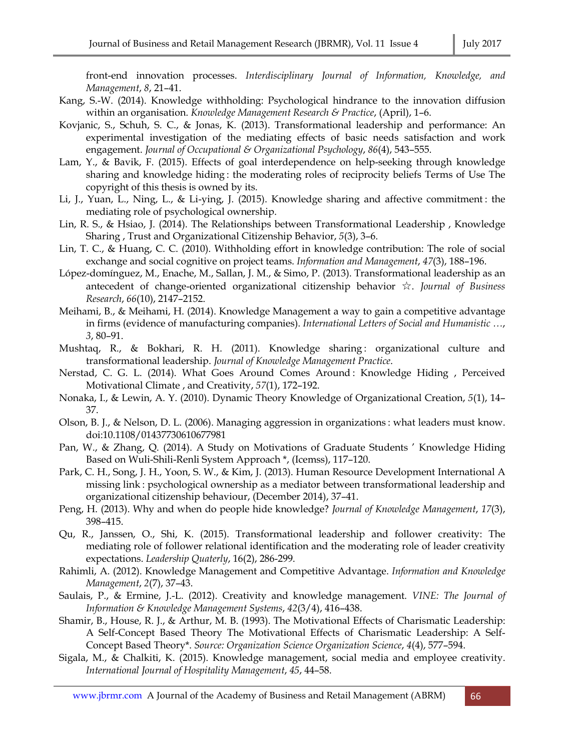front-end innovation processes. *Interdisciplinary Journal of Information, Knowledge, and Management*, *8*, 21–41.

- Kang, S.-W. (2014). Knowledge withholding: Psychological hindrance to the innovation diffusion within an organisation. *Knowledge Management Research & Practice*, (April), 1–6.
- Kovjanic, S., Schuh, S. C., & Jonas, K. (2013). Transformational leadership and performance: An experimental investigation of the mediating effects of basic needs satisfaction and work engagement. *Journal of Occupational & Organizational Psychology*, *86*(4), 543–555.
- Lam, Y., & Bavik, F. (2015). Effects of goal interdependence on help-seeking through knowledge sharing and knowledge hiding : the moderating roles of reciprocity beliefs Terms of Use The copyright of this thesis is owned by its.
- Li, J., Yuan, L., Ning, L., & Li-ying, J. (2015). Knowledge sharing and affective commitment : the mediating role of psychological ownership.
- Lin, R. S., & Hsiao, J. (2014). The Relationships between Transformational Leadership , Knowledge Sharing , Trust and Organizational Citizenship Behavior, *5*(3), 3–6.
- Lin, T. C., & Huang, C. C. (2010). Withholding effort in knowledge contribution: The role of social exchange and social cognitive on project teams. *Information and Management*, *47*(3), 188–196.
- López-domínguez, M., Enache, M., Sallan, J. M., & Simo, P. (2013). Transformational leadership as an antecedent of change-oriented organizational citizenship behavior ☆. *Journal of Business Research*, *66*(10), 2147–2152.
- Meihami, B., & Meihami, H. (2014). Knowledge Management a way to gain a competitive advantage in firms (evidence of manufacturing companies). *International Letters of Social and Humanistic …*, *3*, 80–91.
- Mushtaq, R., & Bokhari, R. H. (2011). Knowledge sharing : organizational culture and transformational leadership. *Journal of Knowledge Management Practice*.
- Nerstad, C. G. L. (2014). What Goes Around Comes Around : Knowledge Hiding , Perceived Motivational Climate , and Creativity, *57*(1), 172–192.
- Nonaka, I., & Lewin, A. Y. (2010). Dynamic Theory Knowledge of Organizational Creation, *5*(1), 14– 37.
- Olson, B. J., & Nelson, D. L. (2006). Managing aggression in organizations : what leaders must know. doi:10.1108/01437730610677981
- Pan, W., & Zhang, Q. (2014). A Study on Motivations of Graduate Students ' Knowledge Hiding Based on Wuli-Shili-Renli System Approach \*, (Icemss), 117–120.
- Park, C. H., Song, J. H., Yoon, S. W., & Kim, J. (2013). Human Resource Development International A missing link : psychological ownership as a mediator between transformational leadership and organizational citizenship behaviour, (December 2014), 37–41.
- Peng, H. (2013). Why and when do people hide knowledge? *Journal of Knowledge Management*, *17*(3), 398–415.
- Qu, R., Janssen, O., Shi, K. (2015). Transformational leadership and follower creativity: The mediating role of follower relational identification and the moderating role of leader creativity expectations. *Leadership Quaterly*, 16(2), 286-299.
- Rahimli, A. (2012). Knowledge Management and Competitive Advantage. *Information and Knowledge Management*, *2*(7), 37–43.
- Saulais, P., & Ermine, J.-L. (2012). Creativity and knowledge management. *VINE: The Journal of Information & Knowledge Management Systems*, *42*(3/4), 416–438.
- Shamir, B., House, R. J., & Arthur, M. B. (1993). The Motivational Effects of Charismatic Leadership: A Self-Concept Based Theory The Motivational Effects of Charismatic Leadership: A Self-Concept Based Theory\*. *Source: Organization Science Organization Science*, *4*(4), 577–594.
- Sigala, M., & Chalkiti, K. (2015). Knowledge management, social media and employee creativity. *International Journal of Hospitality Management*, *45*, 44–58.